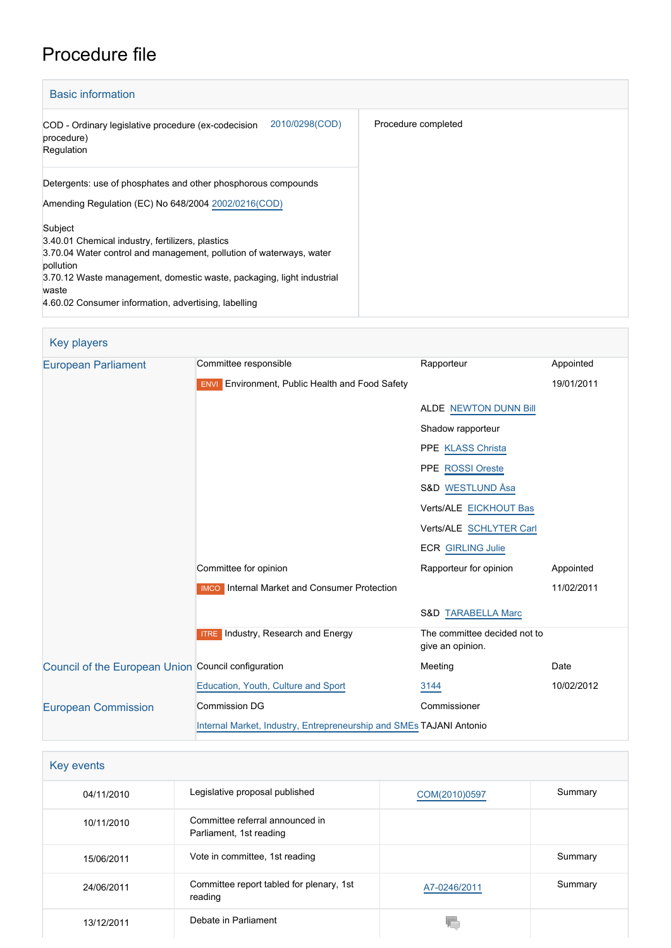# Procedure file

| <b>Basic information</b>                                                                                                                                                                                                                                                                  |                     |
|-------------------------------------------------------------------------------------------------------------------------------------------------------------------------------------------------------------------------------------------------------------------------------------------|---------------------|
| 2010/0298(COD)<br>COD - Ordinary legislative procedure (ex-codecision<br>procedure)<br>Regulation                                                                                                                                                                                         | Procedure completed |
| Detergents: use of phosphates and other phosphorous compounds<br>Amending Regulation (EC) No 648/2004 2002/0216 (COD)                                                                                                                                                                     |                     |
| Subject<br>3.40.01 Chemical industry, fertilizers, plastics<br>3.70.04 Water control and management, pollution of waterways, water<br>pollution<br>3.70.12 Waste management, domestic waste, packaging, light industrial<br>waste<br>4.60.02 Consumer information, advertising, labelling |                     |

| Key players                                         |                                                                     |                                                  |            |
|-----------------------------------------------------|---------------------------------------------------------------------|--------------------------------------------------|------------|
| <b>European Parliament</b>                          | Committee responsible                                               | Rapporteur                                       | Appointed  |
|                                                     | <b>ENVI</b> Environment, Public Health and Food Safety              |                                                  | 19/01/2011 |
|                                                     |                                                                     | <b>ALDE NEWTON DUNN Bill</b>                     |            |
|                                                     |                                                                     | Shadow rapporteur                                |            |
|                                                     |                                                                     | PPE KLASS Christa                                |            |
|                                                     |                                                                     | PPE ROSSI Oreste                                 |            |
|                                                     |                                                                     | S&D WESTLUND Åsa                                 |            |
|                                                     |                                                                     | Verts/ALE EICKHOUT Bas                           |            |
|                                                     |                                                                     | Verts/ALE SCHLYTER Carl                          |            |
|                                                     |                                                                     | <b>ECR GIRLING Julie</b>                         |            |
|                                                     | Committee for opinion                                               | Rapporteur for opinion                           | Appointed  |
|                                                     | <b>IMCO</b> Internal Market and Consumer Protection                 |                                                  | 11/02/2011 |
|                                                     |                                                                     | <b>S&amp;D TARABELLA Marc</b>                    |            |
|                                                     | <b>ITRE</b> Industry, Research and Energy                           | The committee decided not to<br>give an opinion. |            |
| Council of the European Union Council configuration |                                                                     | Meeting                                          | Date       |
|                                                     | Education, Youth, Culture and Sport                                 | 3144                                             | 10/02/2012 |
| <b>European Commission</b>                          | <b>Commission DG</b>                                                | Commissioner                                     |            |
|                                                     | Internal Market, Industry, Entrepreneurship and SMEs TAJANI Antonio |                                                  |            |

| Key events |                                                            |               |         |
|------------|------------------------------------------------------------|---------------|---------|
| 04/11/2010 | Legislative proposal published                             | COM(2010)0597 | Summary |
| 10/11/2010 | Committee referral announced in<br>Parliament, 1st reading |               |         |
| 15/06/2011 | Vote in committee, 1st reading                             |               | Summary |
| 24/06/2011 | Committee report tabled for plenary, 1st<br>reading        | A7-0246/2011  | Summary |
| 13/12/2011 | Debate in Parliament                                       | VГ            |         |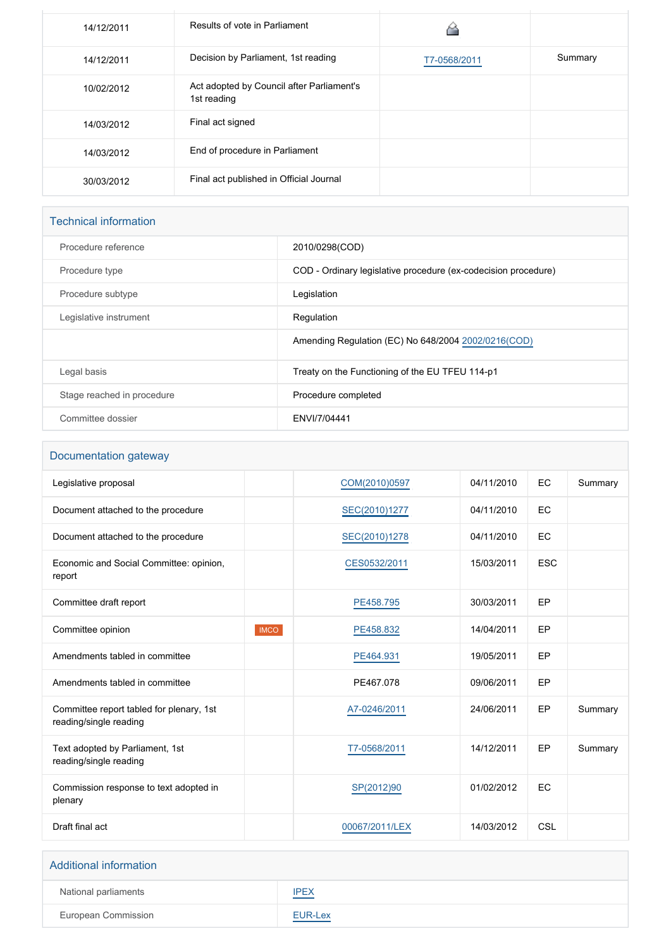| 14/12/2011 | Results of vote in Parliament                            |              |         |
|------------|----------------------------------------------------------|--------------|---------|
| 14/12/2011 | Decision by Parliament, 1st reading                      | T7-0568/2011 | Summary |
| 10/02/2012 | Act adopted by Council after Parliament's<br>1st reading |              |         |
| 14/03/2012 | Final act signed                                         |              |         |
| 14/03/2012 | End of procedure in Parliament                           |              |         |
| 30/03/2012 | Final act published in Official Journal                  |              |         |

## Technical information

| Procedure reference        | 2010/0298(COD)                                                 |
|----------------------------|----------------------------------------------------------------|
| Procedure type             | COD - Ordinary legislative procedure (ex-codecision procedure) |
| Procedure subtype          | Legislation                                                    |
| Legislative instrument     | Regulation                                                     |
|                            | Amending Regulation (EC) No 648/2004 2002/0216 (COD)           |
| Legal basis                | Treaty on the Functioning of the EU TFEU 114-p1                |
| Stage reached in procedure | Procedure completed                                            |
| Committee dossier          | ENVI/7/04441                                                   |

#### Documentation gateway

| Legislative proposal                                               |             | COM(2010)0597  | 04/11/2010 | EC         | Summary |
|--------------------------------------------------------------------|-------------|----------------|------------|------------|---------|
| Document attached to the procedure                                 |             | SEC(2010)1277  | 04/11/2010 | EC         |         |
| Document attached to the procedure                                 |             | SEC(2010)1278  | 04/11/2010 | EC         |         |
| Economic and Social Committee: opinion,<br>report                  |             | CES0532/2011   | 15/03/2011 | <b>ESC</b> |         |
| Committee draft report                                             |             | PE458.795      | 30/03/2011 | EP         |         |
| Committee opinion                                                  | <b>IMCO</b> | PE458.832      | 14/04/2011 | EP         |         |
| Amendments tabled in committee                                     |             | PE464.931      | 19/05/2011 | EP         |         |
| Amendments tabled in committee                                     |             | PE467.078      | 09/06/2011 | EP         |         |
| Committee report tabled for plenary, 1st<br>reading/single reading |             | A7-0246/2011   | 24/06/2011 | EP         | Summary |
| Text adopted by Parliament, 1st<br>reading/single reading          |             | T7-0568/2011   | 14/12/2011 | EP         | Summary |
| Commission response to text adopted in<br>plenary                  |             | SP(2012)90     | 01/02/2012 | EC         |         |
| Draft final act                                                    |             | 00067/2011/LEX | 14/03/2012 | CSL        |         |

# Additional information National parliaments **[IPEX](http://www.ipex.eu/IPEXL-WEB/dossier/dossier.do?code=COD&year=2010&number=0298&appLng=EN)** European Commission **[EUR-Lex](http://ec.europa.eu/prelex/liste_resultats.cfm?CL=en&ReqId=0&DocType=COD&DocYear=2010&DocNum=0298)**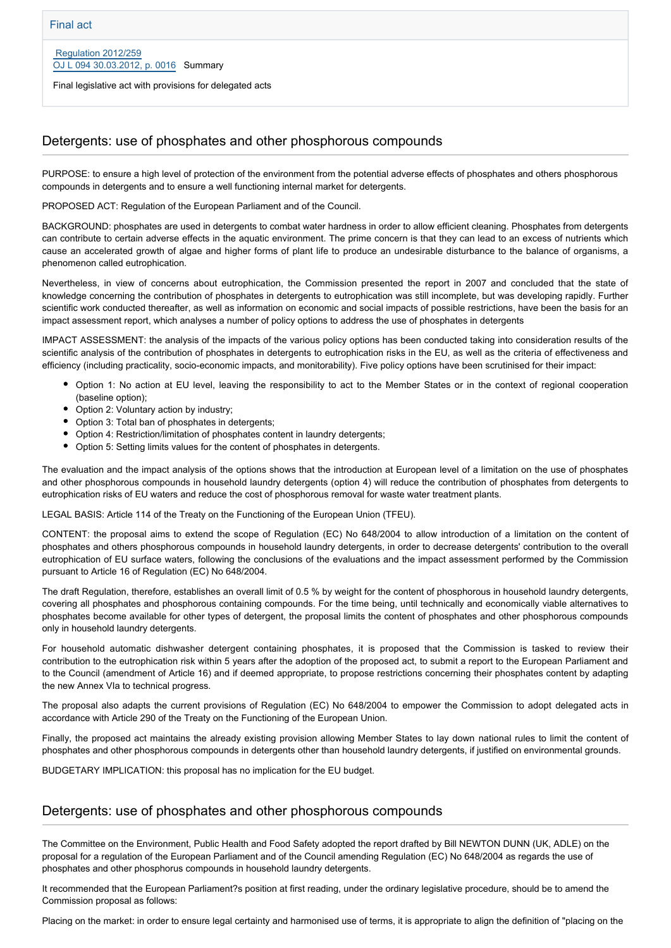Final legislative act with provisions for delegated acts

#### Detergents: use of phosphates and other phosphorous compounds

PURPOSE: to ensure a high level of protection of the environment from the potential adverse effects of phosphates and others phosphorous compounds in detergents and to ensure a well functioning internal market for detergents.

PROPOSED ACT: Regulation of the European Parliament and of the Council.

BACKGROUND: phosphates are used in detergents to combat water hardness in order to allow efficient cleaning. Phosphates from detergents can contribute to certain adverse effects in the aquatic environment. The prime concern is that they can lead to an excess of nutrients which cause an accelerated growth of algae and higher forms of plant life to produce an undesirable disturbance to the balance of organisms, a phenomenon called eutrophication.

Nevertheless, in view of concerns about eutrophication, the Commission presented the report in 2007 and concluded that the state of knowledge concerning the contribution of phosphates in detergents to eutrophication was still incomplete, but was developing rapidly. Further scientific work conducted thereafter, as well as information on economic and social impacts of possible restrictions, have been the basis for an impact assessment report, which analyses a number of policy options to address the use of phosphates in detergents

IMPACT ASSESSMENT: the analysis of the impacts of the various policy options has been conducted taking into consideration results of the scientific analysis of the contribution of phosphates in detergents to eutrophication risks in the EU, as well as the criteria of effectiveness and efficiency (including practicality, socio-economic impacts, and monitorability). Five policy options have been scrutinised for their impact:

- Option 1: No action at EU level, leaving the responsibility to act to the Member States or in the context of regional cooperation (baseline option);
- Option 2: Voluntary action by industry;
- Option 3: Total ban of phosphates in detergents;
- Option 4: Restriction/limitation of phosphates content in laundry detergents;
- Option 5: Setting limits values for the content of phosphates in detergents.

The evaluation and the impact analysis of the options shows that the introduction at European level of a limitation on the use of phosphates and other phosphorous compounds in household laundry detergents (option 4) will reduce the contribution of phosphates from detergents to eutrophication risks of EU waters and reduce the cost of phosphorous removal for waste water treatment plants.

LEGAL BASIS: Article 114 of the Treaty on the Functioning of the European Union (TFEU).

CONTENT: the proposal aims to extend the scope of Regulation (EC) No 648/2004 to allow introduction of a limitation on the content of phosphates and others phosphorous compounds in household laundry detergents, in order to decrease detergents' contribution to the overall eutrophication of EU surface waters, following the conclusions of the evaluations and the impact assessment performed by the Commission pursuant to Article 16 of Regulation (EC) No 648/2004.

The draft Regulation, therefore, establishes an overall limit of 0.5 % by weight for the content of phosphorous in household laundry detergents, covering all phosphates and phosphorous containing compounds. For the time being, until technically and economically viable alternatives to phosphates become available for other types of detergent, the proposal limits the content of phosphates and other phosphorous compounds only in household laundry detergents.

For household automatic dishwasher detergent containing phosphates, it is proposed that the Commission is tasked to review their contribution to the eutrophication risk within 5 years after the adoption of the proposed act, to submit a report to the European Parliament and to the Council (amendment of Article 16) and if deemed appropriate, to propose restrictions concerning their phosphates content by adapting the new Annex VIa to technical progress.

The proposal also adapts the current provisions of Regulation (EC) No 648/2004 to empower the Commission to adopt delegated acts in accordance with Article 290 of the Treaty on the Functioning of the European Union.

Finally, the proposed act maintains the already existing provision allowing Member States to lay down national rules to limit the content of phosphates and other phosphorous compounds in detergents other than household laundry detergents, if justified on environmental grounds.

BUDGETARY IMPLICATION: this proposal has no implication for the EU budget.

#### Detergents: use of phosphates and other phosphorous compounds

The Committee on the Environment, Public Health and Food Safety adopted the report drafted by Bill NEWTON DUNN (UK, ADLE) on the proposal for a regulation of the European Parliament and of the Council amending Regulation (EC) No 648/2004 as regards the use of phosphates and other phosphorus compounds in household laundry detergents.

It recommended that the European Parliament?s position at first reading, under the ordinary legislative procedure, should be to amend the Commission proposal as follows:

Placing on the market: in order to ensure legal certainty and harmonised use of terms, it is appropriate to align the definition of "placing on the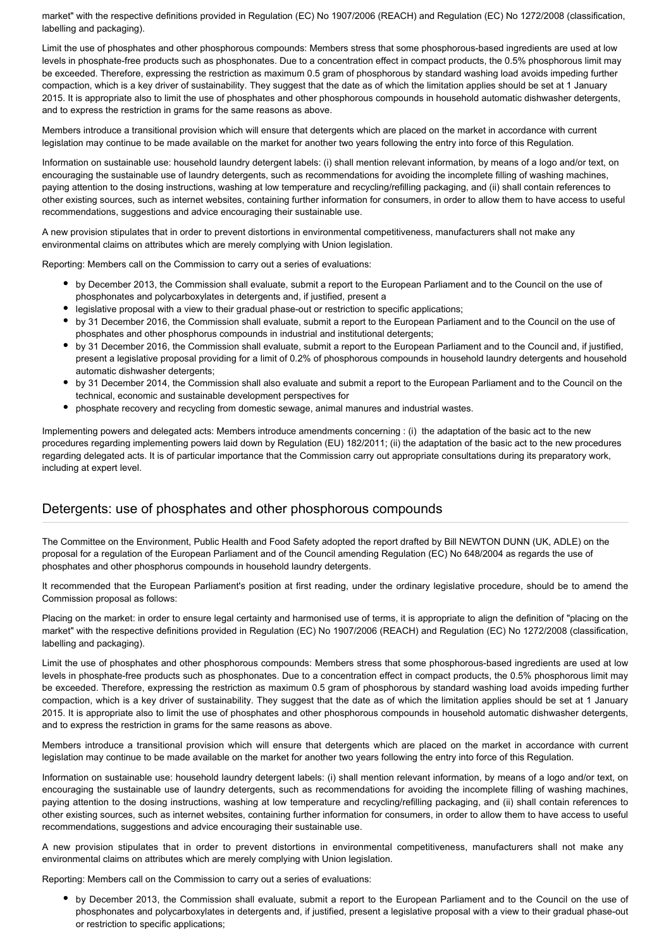market" with the respective definitions provided in Regulation (EC) No 1907/2006 (REACH) and Regulation (EC) No 1272/2008 (classification, labelling and packaging).

Limit the use of phosphates and other phosphorous compounds: Members stress that some phosphorous-based ingredients are used at low levels in phosphate-free products such as phosphonates. Due to a concentration effect in compact products, the 0.5% phosphorous limit may be exceeded. Therefore, expressing the restriction as maximum 0.5 gram of phosphorous by standard washing load avoids impeding further compaction, which is a key driver of sustainability. They suggest that the date as of which the limitation applies should be set at 1 January 2015. It is appropriate also to limit the use of phosphates and other phosphorous compounds in household automatic dishwasher detergents, and to express the restriction in grams for the same reasons as above.

Members introduce a transitional provision which will ensure that detergents which are placed on the market in accordance with current legislation may continue to be made available on the market for another two years following the entry into force of this Regulation.

Information on sustainable use: household laundry detergent labels: (i) shall mention relevant information, by means of a logo and/or text, on encouraging the sustainable use of laundry detergents, such as recommendations for avoiding the incomplete filling of washing machines, paying attention to the dosing instructions, washing at low temperature and recycling/refilling packaging, and (ii) shall contain references to other existing sources, such as internet websites, containing further information for consumers, in order to allow them to have access to useful recommendations, suggestions and advice encouraging their sustainable use.

A new provision stipulates that in order to prevent distortions in environmental competitiveness, manufacturers shall not make any environmental claims on attributes which are merely complying with Union legislation.

Reporting: Members call on the Commission to carry out a series of evaluations:

- by December 2013, the Commission shall evaluate, submit a report to the European Parliament and to the Council on the use of phosphonates and polycarboxylates in detergents and, if justified, present a
- legislative proposal with a view to their gradual phase-out or restriction to specific applications;
- by 31 December 2016, the Commission shall evaluate, submit a report to the European Parliament and to the Council on the use of phosphates and other phosphorus compounds in industrial and institutional detergents;
- by 31 December 2016, the Commission shall evaluate, submit a report to the European Parliament and to the Council and, if justified, present a legislative proposal providing for a limit of 0.2% of phosphorous compounds in household laundry detergents and household automatic dishwasher detergents;
- by 31 December 2014, the Commission shall also evaluate and submit a report to the European Parliament and to the Council on the technical, economic and sustainable development perspectives for
- phosphate recovery and recycling from domestic sewage, animal manures and industrial wastes.

Implementing powers and delegated acts: Members introduce amendments concerning : (i) the adaptation of the basic act to the new procedures regarding implementing powers laid down by Regulation (EU) 182/2011; (ii) the adaptation of the basic act to the new procedures regarding delegated acts. It is of particular importance that the Commission carry out appropriate consultations during its preparatory work, including at expert level.

### Detergents: use of phosphates and other phosphorous compounds

The Committee on the Environment, Public Health and Food Safety adopted the report drafted by Bill NEWTON DUNN (UK, ADLE) on the proposal for a regulation of the European Parliament and of the Council amending Regulation (EC) No 648/2004 as regards the use of phosphates and other phosphorus compounds in household laundry detergents.

It recommended that the European Parliament's position at first reading, under the ordinary legislative procedure, should be to amend the Commission proposal as follows:

Placing on the market: in order to ensure legal certainty and harmonised use of terms, it is appropriate to align the definition of "placing on the market" with the respective definitions provided in Regulation (EC) No 1907/2006 (REACH) and Regulation (EC) No 1272/2008 (classification, labelling and packaging).

Limit the use of phosphates and other phosphorous compounds: Members stress that some phosphorous-based ingredients are used at low levels in phosphate-free products such as phosphonates. Due to a concentration effect in compact products, the 0.5% phosphorous limit may be exceeded. Therefore, expressing the restriction as maximum 0.5 gram of phosphorous by standard washing load avoids impeding further compaction, which is a key driver of sustainability. They suggest that the date as of which the limitation applies should be set at 1 January 2015. It is appropriate also to limit the use of phosphates and other phosphorous compounds in household automatic dishwasher detergents, and to express the restriction in grams for the same reasons as above.

Members introduce a transitional provision which will ensure that detergents which are placed on the market in accordance with current legislation may continue to be made available on the market for another two years following the entry into force of this Regulation.

Information on sustainable use: household laundry detergent labels: (i) shall mention relevant information, by means of a logo and/or text, on encouraging the sustainable use of laundry detergents, such as recommendations for avoiding the incomplete filling of washing machines, paying attention to the dosing instructions, washing at low temperature and recycling/refilling packaging, and (ii) shall contain references to other existing sources, such as internet websites, containing further information for consumers, in order to allow them to have access to useful recommendations, suggestions and advice encouraging their sustainable use.

A new provision stipulates that in order to prevent distortions in environmental competitiveness, manufacturers shall not make any environmental claims on attributes which are merely complying with Union legislation.

Reporting: Members call on the Commission to carry out a series of evaluations:

by December 2013, the Commission shall evaluate, submit a report to the European Parliament and to the Council on the use of phosphonates and polycarboxylates in detergents and, if justified, present a legislative proposal with a view to their gradual phase-out or restriction to specific applications;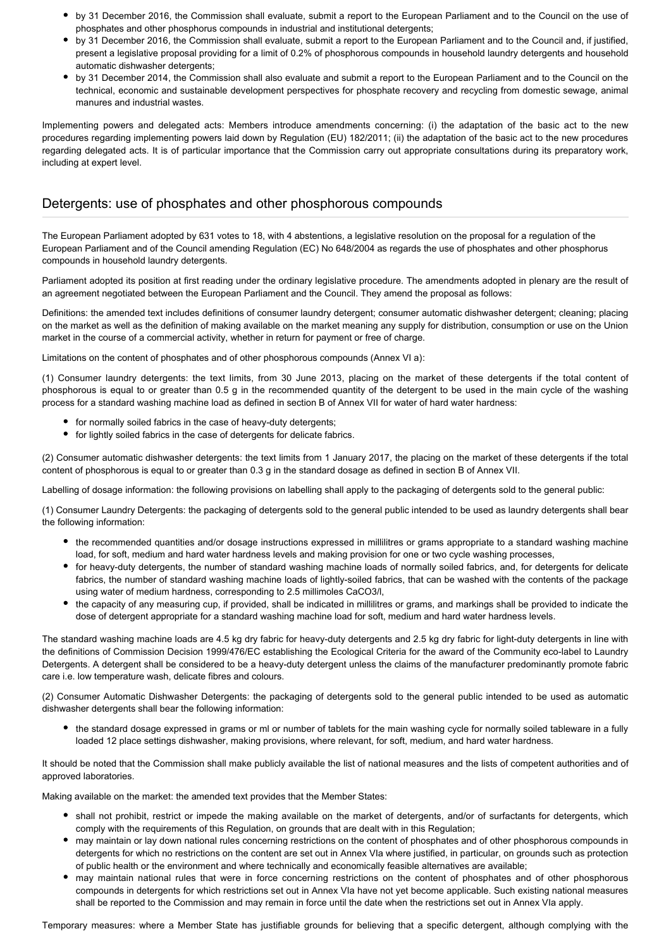- by 31 December 2016, the Commission shall evaluate, submit a report to the European Parliament and to the Council on the use of phosphates and other phosphorus compounds in industrial and institutional detergents;
- by 31 December 2016, the Commission shall evaluate, submit a report to the European Parliament and to the Council and, if justified, present a legislative proposal providing for a limit of 0.2% of phosphorous compounds in household laundry detergents and household automatic dishwasher detergents;
- by 31 December 2014, the Commission shall also evaluate and submit a report to the European Parliament and to the Council on the technical, economic and sustainable development perspectives for phosphate recovery and recycling from domestic sewage, animal manures and industrial wastes.

Implementing powers and delegated acts: Members introduce amendments concerning: (i) the adaptation of the basic act to the new procedures regarding implementing powers laid down by Regulation (EU) 182/2011; (ii) the adaptation of the basic act to the new procedures regarding delegated acts. It is of particular importance that the Commission carry out appropriate consultations during its preparatory work, including at expert level.

### Detergents: use of phosphates and other phosphorous compounds

The European Parliament adopted by 631 votes to 18, with 4 abstentions, a legislative resolution on the proposal for a regulation of the European Parliament and of the Council amending Regulation (EC) No 648/2004 as regards the use of phosphates and other phosphorus compounds in household laundry detergents.

Parliament adopted its position at first reading under the ordinary legislative procedure. The amendments adopted in plenary are the result of an agreement negotiated between the European Parliament and the Council. They amend the proposal as follows:

Definitions: the amended text includes definitions of consumer laundry detergent; consumer automatic dishwasher detergent; cleaning; placing on the market as well as the definition of making available on the market meaning any supply for distribution, consumption or use on the Union market in the course of a commercial activity, whether in return for payment or free of charge.

Limitations on the content of phosphates and of other phosphorous compounds (Annex VI a):

(1) Consumer laundry detergents: the text limits, from 30 June 2013, placing on the market of these detergents if the total content of phosphorous is equal to or greater than 0.5 g in the recommended quantity of the detergent to be used in the main cycle of the washing process for a standard washing machine load as defined in section B of Annex VII for water of hard water hardness:

- for normally soiled fabrics in the case of heavy-duty detergents;
- for lightly soiled fabrics in the case of detergents for delicate fabrics.

(2) Consumer automatic dishwasher detergents: the text limits from 1 January 2017, the placing on the market of these detergents if the total content of phosphorous is equal to or greater than 0.3 g in the standard dosage as defined in section B of Annex VII.

Labelling of dosage information: the following provisions on labelling shall apply to the packaging of detergents sold to the general public:

(1) Consumer Laundry Detergents: the packaging of detergents sold to the general public intended to be used as laundry detergents shall bear the following information:

- the recommended quantities and/or dosage instructions expressed in millilitres or grams appropriate to a standard washing machine load, for soft, medium and hard water hardness levels and making provision for one or two cycle washing processes,
- for heavy-duty detergents, the number of standard washing machine loads of normally soiled fabrics, and, for detergents for delicate fabrics, the number of standard washing machine loads of lightly-soiled fabrics, that can be washed with the contents of the package using water of medium hardness, corresponding to 2.5 millimoles CaCO3/l,
- the capacity of any measuring cup, if provided, shall be indicated in millilitres or grams, and markings shall be provided to indicate the dose of detergent appropriate for a standard washing machine load for soft, medium and hard water hardness levels.

The standard washing machine loads are 4.5 kg dry fabric for heavy-duty detergents and 2.5 kg dry fabric for light-duty detergents in line with the definitions of Commission Decision 1999/476/EC establishing the Ecological Criteria for the award of the Community eco-label to Laundry Detergents. A detergent shall be considered to be a heavy-duty detergent unless the claims of the manufacturer predominantly promote fabric care i.e. low temperature wash, delicate fibres and colours.

(2) Consumer Automatic Dishwasher Detergents: the packaging of detergents sold to the general public intended to be used as automatic dishwasher detergents shall bear the following information:

the standard dosage expressed in grams or ml or number of tablets for the main washing cycle for normally soiled tableware in a fully loaded 12 place settings dishwasher, making provisions, where relevant, for soft, medium, and hard water hardness.

It should be noted that the Commission shall make publicly available the list of national measures and the lists of competent authorities and of approved laboratories.

Making available on the market: the amended text provides that the Member States:

- shall not prohibit, restrict or impede the making available on the market of detergents, and/or of surfactants for detergents, which comply with the requirements of this Regulation, on grounds that are dealt with in this Regulation;
- may maintain or lay down national rules concerning restrictions on the content of phosphates and of other phosphorous compounds in detergents for which no restrictions on the content are set out in Annex VIa where justified, in particular, on grounds such as protection of public health or the environment and where technically and economically feasible alternatives are available;
- may maintain national rules that were in force concerning restrictions on the content of phosphates and of other phosphorous compounds in detergents for which restrictions set out in Annex VIa have not yet become applicable. Such existing national measures shall be reported to the Commission and may remain in force until the date when the restrictions set out in Annex VIa apply.

Temporary measures: where a Member State has justifiable grounds for believing that a specific detergent, although complying with the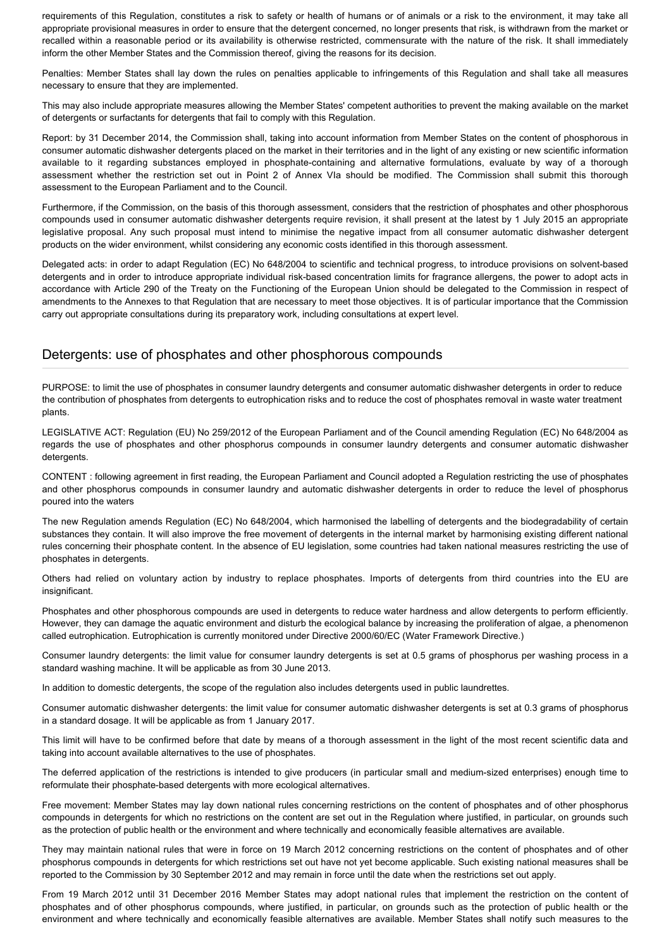requirements of this Regulation, constitutes a risk to safety or health of humans or of animals or a risk to the environment, it may take all appropriate provisional measures in order to ensure that the detergent concerned, no longer presents that risk, is withdrawn from the market or recalled within a reasonable period or its availability is otherwise restricted, commensurate with the nature of the risk. It shall immediately inform the other Member States and the Commission thereof, giving the reasons for its decision.

Penalties: Member States shall lay down the rules on penalties applicable to infringements of this Regulation and shall take all measures necessary to ensure that they are implemented.

This may also include appropriate measures allowing the Member States' competent authorities to prevent the making available on the market of detergents or surfactants for detergents that fail to comply with this Regulation.

Report: by 31 December 2014, the Commission shall, taking into account information from Member States on the content of phosphorous in consumer automatic dishwasher detergents placed on the market in their territories and in the light of any existing or new scientific information available to it regarding substances employed in phosphate-containing and alternative formulations, evaluate by way of a thorough assessment whether the restriction set out in Point 2 of Annex VIa should be modified. The Commission shall submit this thorough assessment to the European Parliament and to the Council.

Furthermore, if the Commission, on the basis of this thorough assessment, considers that the restriction of phosphates and other phosphorous compounds used in consumer automatic dishwasher detergents require revision, it shall present at the latest by 1 July 2015 an appropriate legislative proposal. Any such proposal must intend to minimise the negative impact from all consumer automatic dishwasher detergent products on the wider environment, whilst considering any economic costs identified in this thorough assessment.

Delegated acts: in order to adapt Regulation (EC) No 648/2004 to scientific and technical progress, to introduce provisions on solvent-based detergents and in order to introduce appropriate individual risk-based concentration limits for fragrance allergens, the power to adopt acts in accordance with Article 290 of the Treaty on the Functioning of the European Union should be delegated to the Commission in respect of amendments to the Annexes to that Regulation that are necessary to meet those objectives. It is of particular importance that the Commission carry out appropriate consultations during its preparatory work, including consultations at expert level.

#### Detergents: use of phosphates and other phosphorous compounds

PURPOSE: to limit the use of phosphates in consumer laundry detergents and consumer automatic dishwasher detergents in order to reduce the contribution of phosphates from detergents to eutrophication risks and to reduce the cost of phosphates removal in waste water treatment plants.

LEGISLATIVE ACT: Regulation (EU) No 259/2012 of the European Parliament and of the Council amending Regulation (EC) No 648/2004 as regards the use of phosphates and other phosphorus compounds in consumer laundry detergents and consumer automatic dishwasher detergents.

CONTENT : following agreement in first reading, the European Parliament and Council adopted a Regulation restricting the use of phosphates and other phosphorus compounds in consumer laundry and automatic dishwasher detergents in order to reduce the level of phosphorus poured into the waters

The new Regulation amends Regulation (EC) No 648/2004, which harmonised the labelling of detergents and the biodegradability of certain substances they contain. It will also improve the free movement of detergents in the internal market by harmonising existing different national rules concerning their phosphate content. In the absence of EU legislation, some countries had taken national measures restricting the use of phosphates in detergents.

Others had relied on voluntary action by industry to replace phosphates. Imports of detergents from third countries into the EU are insignificant.

Phosphates and other phosphorous compounds are used in detergents to reduce water hardness and allow detergents to perform efficiently. However, they can damage the aquatic environment and disturb the ecological balance by increasing the proliferation of algae, a phenomenon called eutrophication. Eutrophication is currently monitored under Directive 2000/60/EC (Water Framework Directive.)

Consumer laundry detergents: the limit value for consumer laundry detergents is set at 0.5 grams of phosphorus per washing process in a standard washing machine. It will be applicable as from 30 June 2013.

In addition to domestic detergents, the scope of the regulation also includes detergents used in public laundrettes.

Consumer automatic dishwasher detergents: the limit value for consumer automatic dishwasher detergents is set at 0.3 grams of phosphorus in a standard dosage. It will be applicable as from 1 January 2017.

This limit will have to be confirmed before that date by means of a thorough assessment in the light of the most recent scientific data and taking into account available alternatives to the use of phosphates.

The deferred application of the restrictions is intended to give producers (in particular small and medium-sized enterprises) enough time to reformulate their phosphate-based detergents with more ecological alternatives.

Free movement: Member States may lay down national rules concerning restrictions on the content of phosphates and of other phosphorus compounds in detergents for which no restrictions on the content are set out in the Regulation where justified, in particular, on grounds such as the protection of public health or the environment and where technically and economically feasible alternatives are available.

They may maintain national rules that were in force on 19 March 2012 concerning restrictions on the content of phosphates and of other phosphorus compounds in detergents for which restrictions set out have not yet become applicable. Such existing national measures shall be reported to the Commission by 30 September 2012 and may remain in force until the date when the restrictions set out apply.

From 19 March 2012 until 31 December 2016 Member States may adopt national rules that implement the restriction on the content of phosphates and of other phosphorus compounds, where justified, in particular, on grounds such as the protection of public health or the environment and where technically and economically feasible alternatives are available. Member States shall notify such measures to the